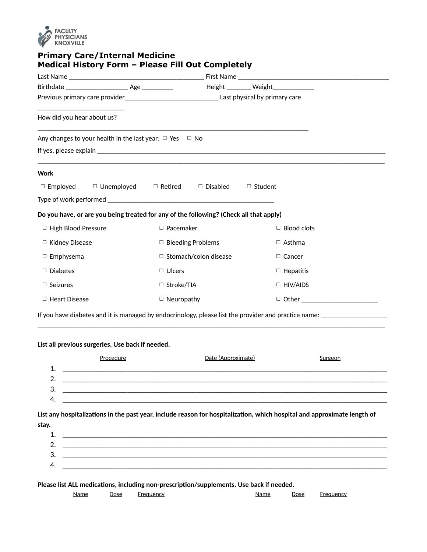

## **Primary Care/Internal Medicine Medical History Form – Please Fill Out Completely**

|                                                                                        |                                                           | Height ________ Weight_____________                                                                                      |  |  |  |
|----------------------------------------------------------------------------------------|-----------------------------------------------------------|--------------------------------------------------------------------------------------------------------------------------|--|--|--|
|                                                                                        |                                                           |                                                                                                                          |  |  |  |
| How did you hear about us?                                                             |                                                           |                                                                                                                          |  |  |  |
| Any changes to your health in the last year: $\Box$ Yes $\Box$ No                      |                                                           |                                                                                                                          |  |  |  |
|                                                                                        |                                                           |                                                                                                                          |  |  |  |
| <b>Work</b>                                                                            |                                                           |                                                                                                                          |  |  |  |
| $\Box$ Unemployed $\Box$ Retired<br>$\Box$ Employed                                    | $\Box$ Disabled                                           | $\Box$ Student                                                                                                           |  |  |  |
|                                                                                        |                                                           |                                                                                                                          |  |  |  |
| Do you have, or are you being treated for any of the following? (Check all that apply) |                                                           |                                                                                                                          |  |  |  |
| □ High Blood Pressure                                                                  | □ Pacemaker                                               | $\Box$ Blood clots                                                                                                       |  |  |  |
| □ Kidney Disease                                                                       | $\Box$ Bleeding Problems                                  | $\Box$ Asthma                                                                                                            |  |  |  |
| $\Box$ Emphysema                                                                       | □ Stomach/colon disease                                   | $\Box$ Cancer                                                                                                            |  |  |  |
| $\Box$ Diabetes                                                                        | $\Box$ Ulcers                                             | $\Box$ Hepatitis                                                                                                         |  |  |  |
| $\Box$ Seizures                                                                        | $\Box$ Stroke/TIA                                         | $\Box$ HIV/AIDS                                                                                                          |  |  |  |
| $\Box$ Heart Disease                                                                   | $\Box$ Neuropathy                                         | □ Other ________________________                                                                                         |  |  |  |
|                                                                                        |                                                           | If you have diabetes and it is managed by endocrinology, please list the provider and practice name: _________________   |  |  |  |
|                                                                                        |                                                           |                                                                                                                          |  |  |  |
| List all previous surgeries. Use back if needed.                                       |                                                           |                                                                                                                          |  |  |  |
| Procedure<br>1.                                                                        | Date (Approximate)                                        | Surgeon                                                                                                                  |  |  |  |
| 2.                                                                                     |                                                           |                                                                                                                          |  |  |  |
| 3.                                                                                     |                                                           |                                                                                                                          |  |  |  |
| 4.                                                                                     |                                                           |                                                                                                                          |  |  |  |
|                                                                                        |                                                           | List any hospitalizations in the past year, include reason for hospitalization, which hospital and approximate length of |  |  |  |
|                                                                                        |                                                           |                                                                                                                          |  |  |  |
|                                                                                        |                                                           |                                                                                                                          |  |  |  |
| 1.                                                                                     |                                                           |                                                                                                                          |  |  |  |
| 2.                                                                                     | <u> 1980 - John Stone, Amerikaansk politiker (* 1980)</u> |                                                                                                                          |  |  |  |
| stay.<br>3.                                                                            |                                                           |                                                                                                                          |  |  |  |

**Please list ALL medications, including non-prescription/supplements. Use back if needed.**

|  | Nai | --<br>סכטע | ''' I' | Na.<br>,,,,,, | Dose |  |
|--|-----|------------|--------|---------------|------|--|
|--|-----|------------|--------|---------------|------|--|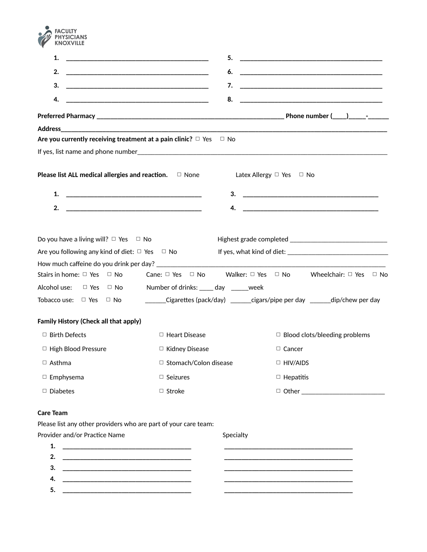

| 1.                                                                                                                           | 5.                                                                           |                                                                                          |
|------------------------------------------------------------------------------------------------------------------------------|------------------------------------------------------------------------------|------------------------------------------------------------------------------------------|
| 2.                                                                                                                           | 6.                                                                           |                                                                                          |
| 3.                                                                                                                           | 7.                                                                           |                                                                                          |
| 4.                                                                                                                           | 8.                                                                           |                                                                                          |
|                                                                                                                              |                                                                              |                                                                                          |
| Address_                                                                                                                     |                                                                              |                                                                                          |
|                                                                                                                              | Are you currently receiving treatment at a pain clinic? $\Box$ Yes $\Box$ No |                                                                                          |
|                                                                                                                              |                                                                              |                                                                                          |
| <b>Please list ALL medical allergies and reaction.</b> $\Box$ None                                                           |                                                                              | Latex Allergy $\Box$ Yes $\Box$ No                                                       |
| 1.                                                                                                                           | 3.                                                                           |                                                                                          |
| 2.                                                                                                                           | <u> 1989 - Johann John Stone, mars eta biztanleria (h. 1989).</u><br>4.      |                                                                                          |
|                                                                                                                              |                                                                              |                                                                                          |
| Do you have a living will? $\Box$ Yes $\Box$ No                                                                              |                                                                              |                                                                                          |
| Are you following any kind of diet: $\Box$ Yes $\Box$ No                                                                     |                                                                              |                                                                                          |
|                                                                                                                              |                                                                              |                                                                                          |
| Stairs in home: $\Box$ Yes $\Box$ No                                                                                         |                                                                              | Cane: $\Box$ Yes $\Box$ No Walker: $\Box$ Yes $\Box$ No Wheelchair: $\Box$ Yes $\Box$ No |
| Alcohol use:<br>$\Box$ Yes $\Box$ No                                                                                         | Number of drinks: _____ day ______week                                       |                                                                                          |
| Tobacco use: □ Yes<br>$\Box$ No                                                                                              |                                                                              | _______Cigarettes (pack/day) ________cigars/pipe per day _______dip/chew per day         |
| <b>Family History (Check all that apply)</b>                                                                                 |                                                                              |                                                                                          |
| $\Box$ Birth Defects                                                                                                         | $\Box$ Heart Disease                                                         | $\Box$ Blood clots/bleeding problems                                                     |
| □ High Blood Pressure                                                                                                        | □ Kidney Disease                                                             | $\Box$ Cancer                                                                            |
| $\Box$ Asthma                                                                                                                | $\Box$ Stomach/Colon disease                                                 | $\Box$ HIV/AIDS                                                                          |
| $\Box$ Emphysema                                                                                                             | $\Box$ Seizures                                                              | $\Box$ Hepatitis                                                                         |
| $\Box$ Diabetes                                                                                                              | □ Stroke                                                                     |                                                                                          |
| <b>Care Team</b>                                                                                                             |                                                                              |                                                                                          |
| Please list any other providers who are part of your care team:                                                              |                                                                              |                                                                                          |
| Provider and/or Practice Name                                                                                                | Specialty                                                                    |                                                                                          |
| 1.                                                                                                                           |                                                                              |                                                                                          |
| 2.                                                                                                                           |                                                                              |                                                                                          |
| З.                                                                                                                           |                                                                              |                                                                                          |
| 4.<br><u> 1989 - Johann John Stone, market fan it ferskearre fan it ferskearre fan it ferskearre fan it ferskearre fan i</u> |                                                                              |                                                                                          |

**5. \_\_\_\_\_\_\_\_\_\_\_\_\_\_\_\_\_\_\_\_\_\_\_\_\_\_\_\_\_\_\_\_\_\_\_\_\_ \_\_\_\_\_\_\_\_\_\_\_\_\_\_\_\_\_\_\_\_\_\_\_\_\_\_\_\_\_\_\_\_\_\_\_\_\_**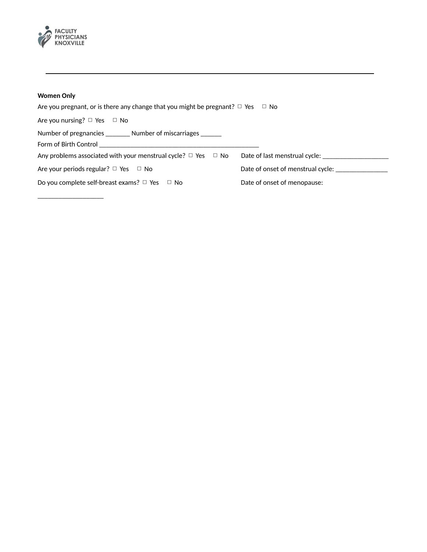

## **Women Only**

| Are you pregnant, or is there any change that you might be pregnant? $\Box$ Yes $\Box$ No |                                   |
|-------------------------------------------------------------------------------------------|-----------------------------------|
| Are you nursing? $\Box$ Yes $\Box$ No                                                     |                                   |
| Number of pregnancies ________ Number of miscarriages ______                              |                                   |
| Form of Birth Control <b>Example 20</b> Form of Birth Control                             |                                   |
| Any problems associated with your menstrual cycle? $\Box$ Yes $\Box$ No                   | Date of last menstrual cycle:     |
| Are your periods regular? $\Box$ Yes $\Box$ No                                            | Date of onset of menstrual cycle: |
| Do you complete self-breast exams? $\Box$ Yes $\Box$ No                                   | Date of onset of menopause:       |

\_\_\_\_\_\_\_\_\_\_\_\_\_\_\_\_\_\_\_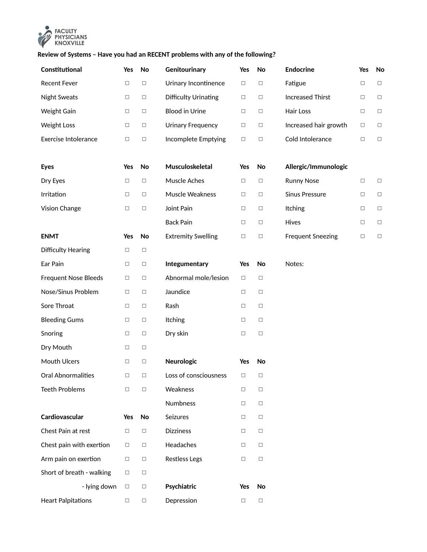

## **Review of Systems – Have you had an RECENT problems with any of the following?**

| Constitutional              | Yes    | No     | Genitourinary             | Yes    | No     | <b>Endocrine</b>         | Yes    | No     |
|-----------------------------|--------|--------|---------------------------|--------|--------|--------------------------|--------|--------|
| <b>Recent Fever</b>         | $\Box$ | $\Box$ | Urinary Incontinence      | $\Box$ | $\Box$ | Fatigue                  | $\Box$ | $\Box$ |
| <b>Night Sweats</b>         | $\Box$ | $\Box$ | Difficulty Urinating      | □      | $\Box$ | <b>Increased Thirst</b>  | $\Box$ | $\Box$ |
| Weight Gain                 | $\Box$ | $\Box$ | <b>Blood in Urine</b>     | $\Box$ | $\Box$ | Hair Loss                | $\Box$ | $\Box$ |
| <b>Weight Loss</b>          | $\Box$ | $\Box$ | <b>Urinary Frequency</b>  | $\Box$ | $\Box$ | Increased hair growth    | $\Box$ | $\Box$ |
| <b>Exercise Intolerance</b> | □      | □      | Incomplete Emptying       | $\Box$ | $\Box$ | Cold Intolerance         | $\Box$ | $\Box$ |
|                             |        |        |                           |        |        |                          |        |        |
| <b>Eyes</b>                 | Yes    | No     | Musculoskeletal           | Yes    | No     | Allergic/Immunologic     |        |        |
| Dry Eyes                    | $\Box$ | $\Box$ | Muscle Aches              | $\Box$ | $\Box$ | <b>Runny Nose</b>        | $\Box$ | $\Box$ |
| Irritation                  | $\Box$ | $\Box$ | Muscle Weakness           | $\Box$ | $\Box$ | <b>Sinus Pressure</b>    | $\Box$ | $\Box$ |
| Vision Change               | $\Box$ | $\Box$ | Joint Pain                | $\Box$ | $\Box$ | Itching                  | $\Box$ | $\Box$ |
|                             |        |        | <b>Back Pain</b>          | $\Box$ | $\Box$ | Hives                    | $\Box$ | $\Box$ |
| <b>ENMT</b>                 | Yes    | No     | <b>Extremity Swelling</b> | $\Box$ | $\Box$ | <b>Frequent Sneezing</b> | $\Box$ | $\Box$ |
| <b>Difficulty Hearing</b>   | $\Box$ | $\Box$ |                           |        |        |                          |        |        |
| Ear Pain                    | $\Box$ | $\Box$ | Integumentary             | Yes    | No     | Notes:                   |        |        |
| <b>Frequent Nose Bleeds</b> | $\Box$ | $\Box$ | Abnormal mole/lesion      | $\Box$ | $\Box$ |                          |        |        |
| Nose/Sinus Problem          | $\Box$ | $\Box$ | Jaundice                  | $\Box$ | $\Box$ |                          |        |        |
| Sore Throat                 | $\Box$ | $\Box$ | Rash                      | $\Box$ | $\Box$ |                          |        |        |
| <b>Bleeding Gums</b>        | $\Box$ | $\Box$ | Itching                   | $\Box$ | $\Box$ |                          |        |        |
| Snoring                     | $\Box$ | $\Box$ | Dry skin                  | $\Box$ | $\Box$ |                          |        |        |
| Dry Mouth                   | $\Box$ | $\Box$ |                           |        |        |                          |        |        |
| Mouth Ulcers                | $\Box$ | $\Box$ | Neurologic                | Yes    | No     |                          |        |        |
| Oral Abnormalities          | $\Box$ | $\Box$ | Loss of consciousness     | $\Box$ | $\Box$ |                          |        |        |
| <b>Teeth Problems</b>       | □      | $\Box$ | Weakness                  | $\Box$ | $\Box$ |                          |        |        |
|                             |        |        | Numbness                  | $\Box$ | $\Box$ |                          |        |        |
| Cardiovascular              | Yes    | No     | Seizures                  | $\Box$ | $\Box$ |                          |        |        |
| Chest Pain at rest          | $\Box$ | $\Box$ | <b>Dizziness</b>          | $\Box$ | $\Box$ |                          |        |        |
| Chest pain with exertion    | $\Box$ | $\Box$ | Headaches                 | $\Box$ | $\Box$ |                          |        |        |
| Arm pain on exertion        | $\Box$ | $\Box$ | <b>Restless Legs</b>      | $\Box$ | $\Box$ |                          |        |        |
| Short of breath - walking   | $\Box$ | $\Box$ |                           |        |        |                          |        |        |
| - lying down                | $\Box$ | $\Box$ | Psychiatric               | Yes    | No     |                          |        |        |
| <b>Heart Palpitations</b>   | $\Box$ | $\Box$ | Depression                | $\Box$ | $\Box$ |                          |        |        |